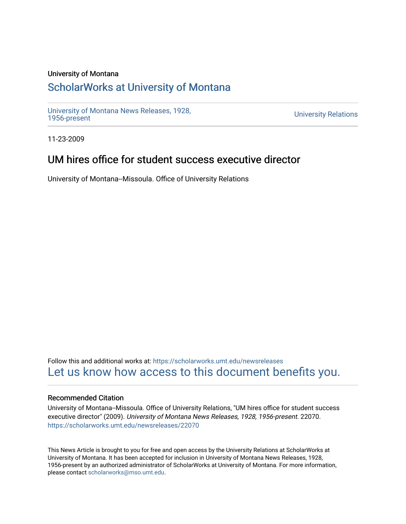#### University of Montana

## [ScholarWorks at University of Montana](https://scholarworks.umt.edu/)

[University of Montana News Releases, 1928,](https://scholarworks.umt.edu/newsreleases) 

**University Relations** 

11-23-2009

## UM hires office for student success executive director

University of Montana--Missoula. Office of University Relations

Follow this and additional works at: [https://scholarworks.umt.edu/newsreleases](https://scholarworks.umt.edu/newsreleases?utm_source=scholarworks.umt.edu%2Fnewsreleases%2F22070&utm_medium=PDF&utm_campaign=PDFCoverPages) [Let us know how access to this document benefits you.](https://goo.gl/forms/s2rGfXOLzz71qgsB2) 

#### Recommended Citation

University of Montana--Missoula. Office of University Relations, "UM hires office for student success executive director" (2009). University of Montana News Releases, 1928, 1956-present. 22070. [https://scholarworks.umt.edu/newsreleases/22070](https://scholarworks.umt.edu/newsreleases/22070?utm_source=scholarworks.umt.edu%2Fnewsreleases%2F22070&utm_medium=PDF&utm_campaign=PDFCoverPages) 

This News Article is brought to you for free and open access by the University Relations at ScholarWorks at University of Montana. It has been accepted for inclusion in University of Montana News Releases, 1928, 1956-present by an authorized administrator of ScholarWorks at University of Montana. For more information, please contact [scholarworks@mso.umt.edu.](mailto:scholarworks@mso.umt.edu)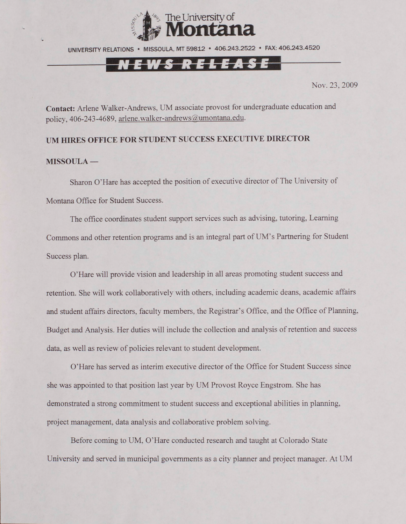

UNIVERSITY RELATIONS • MISSOULA. MT 59812 • 406.243.2522 • FAX: 406.243.4520

# <u>EWS RELEASE</u>

Nov. 23, 2009

**Contact:** Arlene Walker-Andrews, UM associate provost for undergraduate education and policy, 406-243-4689, [arlene.walker-andrews@umontana.edu.](mailto:arlene.walker-andrews@umontana.edu)

### **UM HIRES OFFICE FOR STUDENT SUCCESS EXECUTIVE DIRECTOR**

#### **MISSOULA —**

Sharon O'Hare has accepted the position of executive director of The University of Montana Office for Student Success.

The office coordinates student support services such as advising, tutoring, Learning Commons and other retention programs and is an integral part of UM's Partnering for Student Success plan.

O'Hare will provide vision and leadership in all areas promoting student success and retention. She will work collaboratively with others, including academic deans, academic affairs and student affairs directors, faculty members, the Registrar's Office, and the Office of Planning. Budget and Analysis. Her duties will include the collection and analysis of retention and success data, as well as review of policies relevant to student development.

O'Hare has served as interim executive director of the Office for Student Success since she was appointed to that position last year by UM Provost Royce Engstrom. She has demonstrated a strong commitment to student success and exceptional abilities in planning, project management, data analysis and collaborative problem solving.

Before coming to UM, O'Hare conducted research and taught at Colorado State University and served in municipal governments as a city planner and project manager. At UM